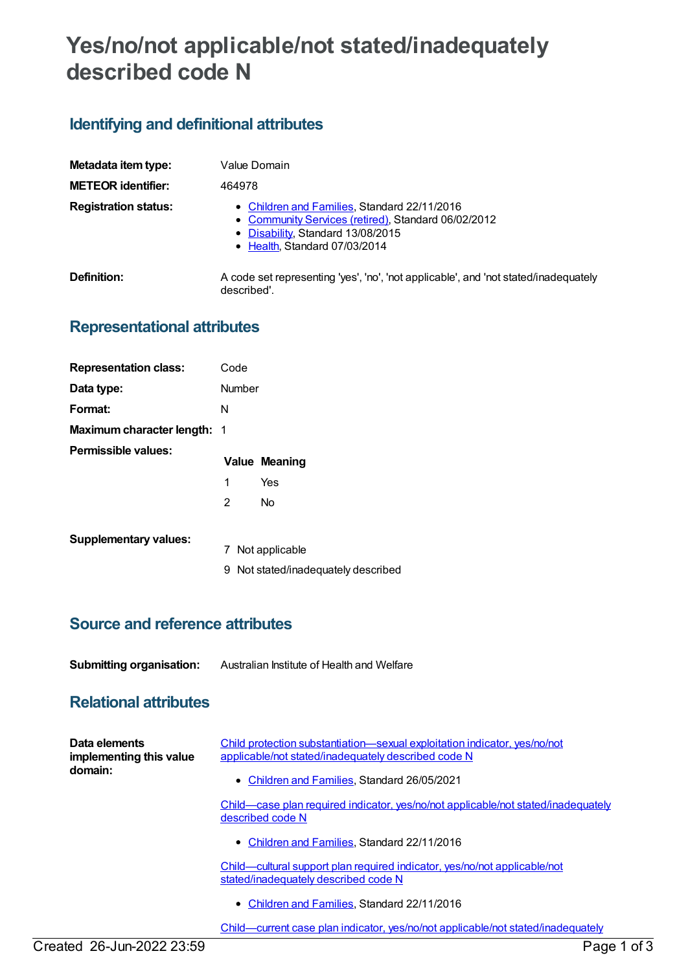# **Yes/no/not applicable/not stated/inadequately described code N**

# **Identifying and definitional attributes**

| Metadata item type:         | Value Domain                                                                                                                                                              |
|-----------------------------|---------------------------------------------------------------------------------------------------------------------------------------------------------------------------|
| <b>METEOR identifier:</b>   | 464978                                                                                                                                                                    |
| <b>Registration status:</b> | • Children and Families, Standard 22/11/2016<br>• Community Services (retired), Standard 06/02/2012<br>• Disability, Standard 13/08/2015<br>• Health, Standard 07/03/2014 |
| Definition:                 | A code set representing 'yes', 'no', 'not applicable', and 'not stated/inadequately<br>described'.                                                                        |

## **Representational attributes**

| <b>Representation class:</b>       | Code   |                      |
|------------------------------------|--------|----------------------|
| Data type:                         | Number |                      |
| Format:                            | N      |                      |
| <b>Maximum character length: 1</b> |        |                      |
| Permissible values:                |        |                      |
|                                    |        |                      |
|                                    |        | <b>Value Meaning</b> |
|                                    | 1      | Yes                  |
|                                    | 2      | N٥                   |

| <b>Supplementary values:</b> |  |
|------------------------------|--|
|------------------------------|--|

- 7 Not applicable
- 9 Not stated/inadequately described

### **Source and reference attributes**

**Submitting organisation:** Australian Institute of Health and Welfare

### **Relational attributes**

| Data elements<br>implementing this value<br>domain: | Child protection substantiation—sexual exploitation indicator, yes/no/not<br>applicable/not stated/inadequately described code N |
|-----------------------------------------------------|----------------------------------------------------------------------------------------------------------------------------------|
|                                                     | • Children and Families, Standard 26/05/2021                                                                                     |
|                                                     | Child—case plan required indicator, yes/no/not applicable/not stated/inadequately<br>described code N                            |
|                                                     | • Children and Families, Standard 22/11/2016                                                                                     |
|                                                     | Child—cultural support plan required indicator, yes/no/not applicable/not<br>stated/inadequately described code N                |
|                                                     | • Children and Families, Standard 22/11/2016                                                                                     |
|                                                     | Child-current case plan indicator, yes/no/not applicable/not stated/inadequately                                                 |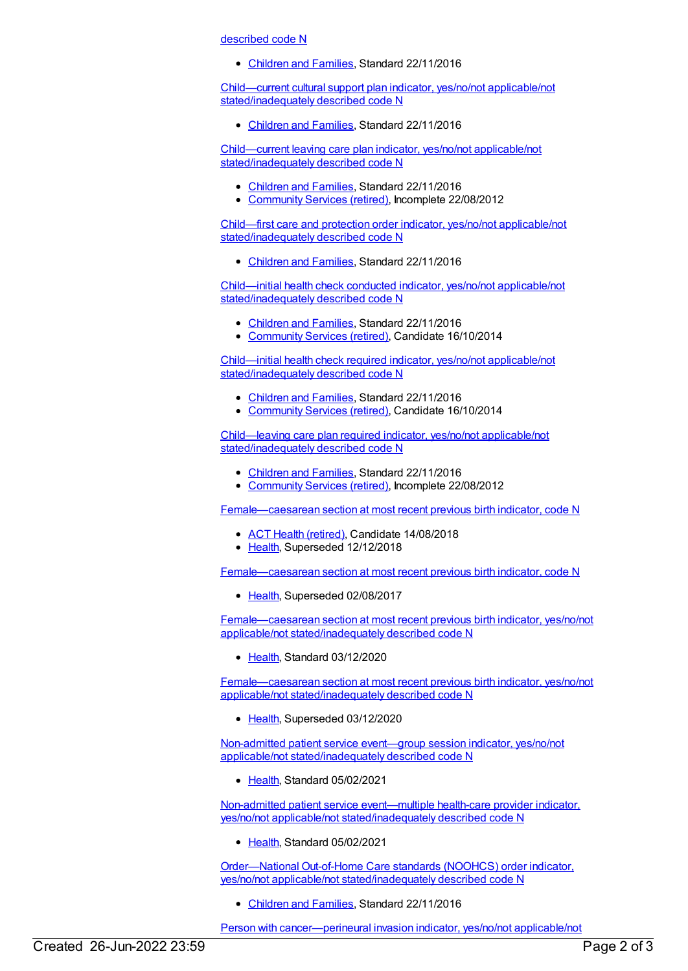described code N

[Children](https://meteor.aihw.gov.au/RegistrationAuthority/17) and Families, Standard 22/11/2016

Child—current cultural support plan indicator, yes/no/not applicable/not [stated/inadequately](https://meteor.aihw.gov.au/content/529663) described code N

• [Children](https://meteor.aihw.gov.au/RegistrationAuthority/17) and Families, Standard 22/11/2016

Child—current leaving care plan indicator, yes/no/not applicable/not [stated/inadequately](https://meteor.aihw.gov.au/content/493102) described code N

- [Children](https://meteor.aihw.gov.au/RegistrationAuthority/17) and Families, Standard 22/11/2016
- [Community](https://meteor.aihw.gov.au/RegistrationAuthority/1) Services (retired), Incomplete 22/08/2012

Child—first care and protection order indicator, yes/no/not applicable/not [stated/inadequately](https://meteor.aihw.gov.au/content/655240) described code N

[Children](https://meteor.aihw.gov.au/RegistrationAuthority/17) and Families, Standard 22/11/2016

Child—initial health check conducted indicator, yes/no/not applicable/not [stated/inadequately](https://meteor.aihw.gov.au/content/529681) described code N

- [Children](https://meteor.aihw.gov.au/RegistrationAuthority/17) and Families, Standard 22/11/2016
- [Community](https://meteor.aihw.gov.au/RegistrationAuthority/1) Services (retired), Candidate 16/10/2014

Child—initial health check required indicator, yes/no/not applicable/not [stated/inadequately](https://meteor.aihw.gov.au/content/529672) described code N

- [Children](https://meteor.aihw.gov.au/RegistrationAuthority/17) and Families, Standard 22/11/2016
- [Community](https://meteor.aihw.gov.au/RegistrationAuthority/1) Services (retired), Candidate 16/10/2014

Child—leaving care plan required indicator, yes/no/not applicable/not [stated/inadequately](https://meteor.aihw.gov.au/content/493090) described code N

- [Children](https://meteor.aihw.gov.au/RegistrationAuthority/17) and Families, Standard 22/11/2016
- [Community](https://meteor.aihw.gov.au/RegistrationAuthority/1) Services (retired), Incomplete 22/08/2012

[Female—caesarean](https://meteor.aihw.gov.au/content/673248) section at most recent previous birth indicator, code N

- ACT Health [\(retired\)](https://meteor.aihw.gov.au/RegistrationAuthority/9), Candidate 14/08/2018
- [Health](https://meteor.aihw.gov.au/RegistrationAuthority/12), Superseded 12/12/2018

[Female—caesarean](https://meteor.aihw.gov.au/content/422187) section at most recent previous birth indicator, code N

• [Health](https://meteor.aihw.gov.au/RegistrationAuthority/12), Superseded 02/08/2017

[Female—caesarean](https://meteor.aihw.gov.au/content/732743) section at most recent previous birth indicator, yes/no/not applicable/not stated/inadequately described code N

• [Health](https://meteor.aihw.gov.au/RegistrationAuthority/12), Standard 03/12/2020

[Female—caesarean](https://meteor.aihw.gov.au/content/695328) section at most recent previous birth indicator, yes/no/not applicable/not stated/inadequately described code N

• [Health](https://meteor.aihw.gov.au/RegistrationAuthority/12), Superseded 03/12/2020

Non-admitted patient service event—group session indicator, yes/no/not applicable/not [stated/inadequately](https://meteor.aihw.gov.au/content/730453) described code N

• [Health](https://meteor.aihw.gov.au/RegistrationAuthority/12), Standard 05/02/2021

Non-admitted patient service event—multiple health-care provider indicator, yes/no/not applicable/not [stated/inadequately](https://meteor.aihw.gov.au/content/727749) described code N

• [Health](https://meteor.aihw.gov.au/RegistrationAuthority/12), Standard 05/02/2021

Order—National Out-of-Home Care standards (NOOHCS) order indicator, yes/no/not applicable/not [stated/inadequately](https://meteor.aihw.gov.au/content/655244) described code N

• [Children](https://meteor.aihw.gov.au/RegistrationAuthority/17) and Families, Standard 22/11/2016

Person with [cancer—perineural](https://meteor.aihw.gov.au/content/429134) invasion indicator, yes/no/not applicable/not